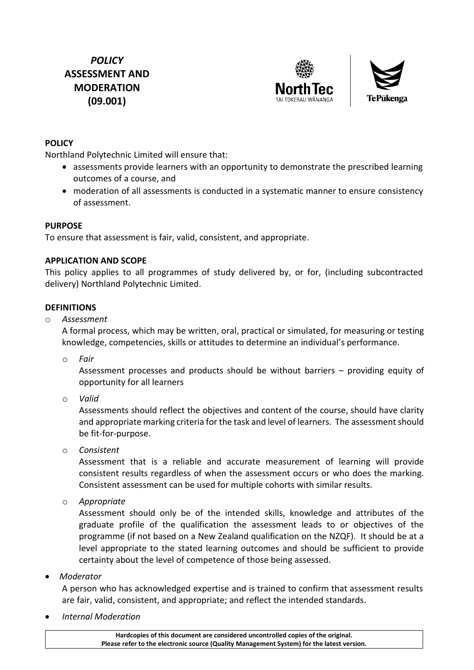## *POLICY* **ASSESSMENT AND MODERATION (09.001)**





#### **POLICY**

Northland Polytechnic Limited will ensure that:

- assessments provide learners with an opportunity to demonstrate the prescribed learning outcomes of a course, and
- moderation of all assessments is conducted in a systematic manner to ensure consistency of assessment.

#### **PURPOSE**

To ensure that assessment is fair, valid, consistent, and appropriate.

#### **APPLICATION AND SCOPE**

This policy applies to all programmes of study delivered by, or for, (including subcontracted delivery) Northland Polytechnic Limited.

#### **DEFINITIONS**

o *Assessment*

A formal process, which may be written, oral, practical or simulated, for measuring or testing knowledge, competencies, skills or attitudes to determine an individual's performance.

o *Fair*

Assessment processes and products should be without barriers – providing equity of opportunity for all learners

o *Valid*

Assessments should reflect the objectives and content of the course, should have clarity and appropriate marking criteria for the task and level of learners. The assessment should be fit-for-purpose.

o *Consistent*

Assessment that is a reliable and accurate measurement of learning will provide consistent results regardless of when the assessment occurs or who does the marking. Consistent assessment can be used for multiple cohorts with similar results.

o *Appropriate*

Assessment should only be of the intended skills, knowledge and attributes of the graduate profile of the qualification the assessment leads to or objectives of the programme (if not based on a New Zealand qualification on the NZQF). It should be at a level appropriate to the stated learning outcomes and should be sufficient to provide certainty about the level of competence of those being assessed.

• *Moderator*

A person who has acknowledged expertise and is trained to confirm that assessment results are fair, valid, consistent, and appropriate; and reflect the intended standards.

• *Internal Moderation*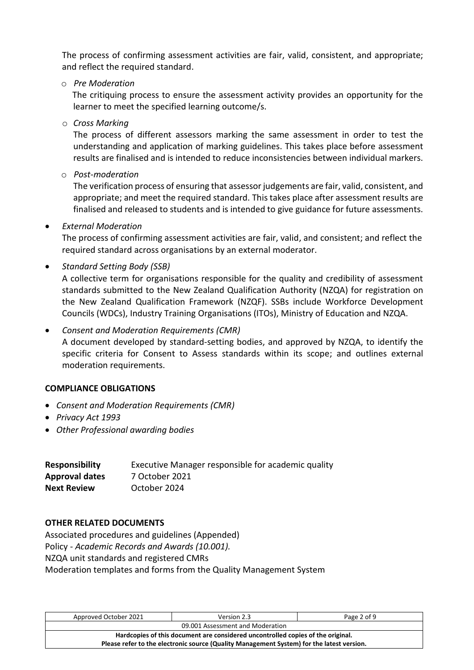The process of confirming assessment activities are fair, valid, consistent, and appropriate; and reflect the required standard.

o *Pre Moderation*

The critiquing process to ensure the assessment activity provides an opportunity for the learner to meet the specified learning outcome/s.

o *Cross Marking*

The process of different assessors marking the same assessment in order to test the understanding and application of marking guidelines. This takes place before assessment results are finalised and is intended to reduce inconsistencies between individual markers.

o *Post-moderation*

The verification process of ensuring that assessor judgements are fair, valid, consistent, and appropriate; and meet the required standard. This takes place after assessment results are finalised and released to students and is intended to give guidance for future assessments.

• *External Moderation*

The process of confirming assessment activities are fair, valid, and consistent; and reflect the required standard across organisations by an external moderator.

• *Standard Setting Body (SSB)*

A collective term for organisations responsible for the quality and credibility of assessment standards submitted to the New Zealand Qualification Authority (NZQA) for registration on the New Zealand Qualification Framework (NZQF). SSBs include Workforce Development Councils (WDCs), Industry Training Organisations (ITOs), Ministry of Education and NZQA.

• *Consent and Moderation Requirements (CMR)*

A document developed by standard-setting bodies, and approved by NZQA, to identify the specific criteria for Consent to Assess standards within its scope; and outlines external moderation requirements.

#### **COMPLIANCE OBLIGATIONS**

- *Consent and Moderation Requirements (CMR)*
- *Privacy Act 1993*
- *Other Professional awarding bodies*

| <b>Responsibility</b> | Executive Manager responsible for academic quality |
|-----------------------|----------------------------------------------------|
| <b>Approval dates</b> | 7 October 2021                                     |
| <b>Next Review</b>    | October 2024                                       |

#### **OTHER RELATED DOCUMENTS**

Associated procedures and guidelines (Appended) Policy - *Academic Records and Awards (10.001).* NZQA unit standards and registered CMRs Moderation templates and forms from the Quality Management System

| Approved October 2021                                                                     | Version 2.3 | Page 2 of 9 |  |
|-------------------------------------------------------------------------------------------|-------------|-------------|--|
| 09.001 Assessment and Moderation                                                          |             |             |  |
| Hardcopies of this document are considered uncontrolled copies of the original.           |             |             |  |
| Please refer to the electronic source (Quality Management System) for the latest version. |             |             |  |
|                                                                                           |             |             |  |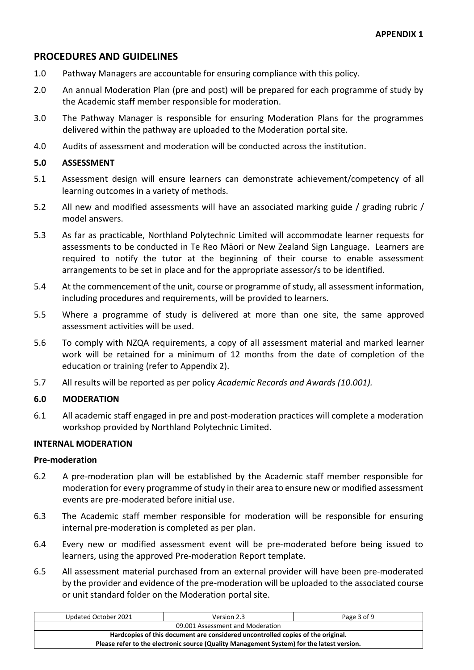### **PROCEDURES AND GUIDELINES**

- 1.0 Pathway Managers are accountable for ensuring compliance with this policy.
- 2.0 An annual Moderation Plan (pre and post) will be prepared for each programme of study by the Academic staff member responsible for moderation.
- 3.0 The Pathway Manager is responsible for ensuring Moderation Plans for the programmes delivered within the pathway are uploaded to the Moderation portal site.
- 4.0 Audits of assessment and moderation will be conducted across the institution.

#### **5.0 ASSESSMENT**

- 5.1 Assessment design will ensure learners can demonstrate achievement/competency of all learning outcomes in a variety of methods.
- 5.2 All new and modified assessments will have an associated marking guide / grading rubric / model answers.
- 5.3 As far as practicable, Northland Polytechnic Limited will accommodate learner requests for assessments to be conducted in Te Reo Māori or New Zealand Sign Language. Learners are required to notify the tutor at the beginning of their course to enable assessment arrangements to be set in place and for the appropriate assessor/s to be identified.
- 5.4 At the commencement of the unit, course or programme of study, all assessment information, including procedures and requirements, will be provided to learners.
- 5.5 Where a programme of study is delivered at more than one site, the same approved assessment activities will be used.
- 5.6 To comply with NZQA requirements, a copy of all assessment material and marked learner work will be retained for a minimum of 12 months from the date of completion of the education or training (refer to Appendix 2).
- 5.7 All results will be reported as per policy *Academic Records and Awards (10.001).*

#### **6.0 MODERATION**

6.1 All academic staff engaged in pre and post-moderation practices will complete a moderation workshop provided by Northland Polytechnic Limited.

#### **INTERNAL MODERATION**

#### **Pre-moderation**

- 6.2 A pre-moderation plan will be established by the Academic staff member responsible for moderation for every programme of study in their area to ensure new or modified assessment events are pre-moderated before initial use.
- 6.3 The Academic staff member responsible for moderation will be responsible for ensuring internal pre-moderation is completed as per plan.
- 6.4 Every new or modified assessment event will be pre-moderated before being issued to learners, using the approved Pre-moderation Report template.
- 6.5 All assessment material purchased from an external provider will have been pre-moderated by the provider and evidence of the pre-moderation will be uploaded to the associated course or unit standard folder on the Moderation portal site.

| Updated October 2021                                                                      | Version 2.3 | Page 3 of 9 |  |
|-------------------------------------------------------------------------------------------|-------------|-------------|--|
| 09.001 Assessment and Moderation                                                          |             |             |  |
| Hardcopies of this document are considered uncontrolled copies of the original.           |             |             |  |
| Please refer to the electronic source (Quality Management System) for the latest version. |             |             |  |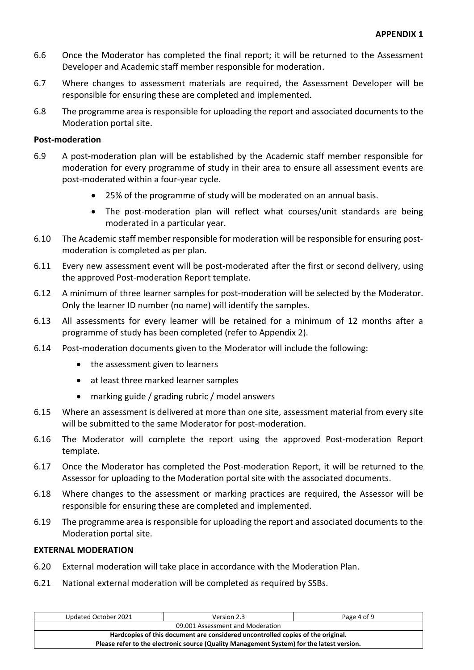- 6.6 Once the Moderator has completed the final report; it will be returned to the Assessment Developer and Academic staff member responsible for moderation.
- 6.7 Where changes to assessment materials are required, the Assessment Developer will be responsible for ensuring these are completed and implemented.
- 6.8 The programme area is responsible for uploading the report and associated documents to the Moderation portal site.

#### **Post-moderation**

- 6.9 A post-moderation plan will be established by the Academic staff member responsible for moderation for every programme of study in their area to ensure all assessment events are post-moderated within a four-year cycle.
	- 25% of the programme of study will be moderated on an annual basis.
	- The post-moderation plan will reflect what courses/unit standards are being moderated in a particular year.
- 6.10 The Academic staff member responsible for moderation will be responsible for ensuring postmoderation is completed as per plan.
- 6.11 Every new assessment event will be post-moderated after the first or second delivery, using the approved Post-moderation Report template.
- 6.12 A minimum of three learner samples for post-moderation will be selected by the Moderator. Only the learner ID number (no name) will identify the samples.
- 6.13 All assessments for every learner will be retained for a minimum of 12 months after a programme of study has been completed (refer to Appendix 2).
- 6.14 Post-moderation documents given to the Moderator will include the following:
	- the assessment given to learners
	- at least three marked learner samples
	- marking guide / grading rubric / model answers
- 6.15 Where an assessment is delivered at more than one site, assessment material from every site will be submitted to the same Moderator for post-moderation.
- 6.16 The Moderator will complete the report using the approved Post-moderation Report template.
- 6.17 Once the Moderator has completed the Post-moderation Report, it will be returned to the Assessor for uploading to the Moderation portal site with the associated documents.
- 6.18 Where changes to the assessment or marking practices are required, the Assessor will be responsible for ensuring these are completed and implemented.
- 6.19 The programme area is responsible for uploading the report and associated documents to the Moderation portal site.

#### **EXTERNAL MODERATION**

- 6.20 External moderation will take place in accordance with the Moderation Plan.
- 6.21 National external moderation will be completed as required by SSBs.

| Updated October 2021                                                                      | Version 2.3 | Page 4 of 9 |  |
|-------------------------------------------------------------------------------------------|-------------|-------------|--|
| 09.001 Assessment and Moderation                                                          |             |             |  |
| Hardcopies of this document are considered uncontrolled copies of the original.           |             |             |  |
| Please refer to the electronic source (Quality Management System) for the latest version. |             |             |  |
|                                                                                           |             |             |  |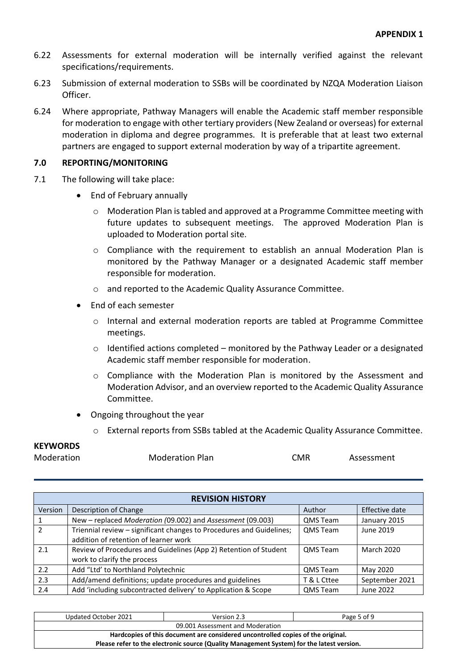- 6.22 Assessments for external moderation will be internally verified against the relevant specifications/requirements.
- 6.23 Submission of external moderation to SSBs will be coordinated by NZQA Moderation Liaison Officer.
- 6.24 Where appropriate, Pathway Managers will enable the Academic staff member responsible for moderation to engage with other tertiary providers (New Zealand or overseas) for external moderation in diploma and degree programmes. It is preferable that at least two external partners are engaged to support external moderation by way of a tripartite agreement.

#### **7.0 REPORTING/MONITORING**

- 7.1 The following will take place:
	- End of February annually
		- o Moderation Plan is tabled and approved at a Programme Committee meeting with future updates to subsequent meetings. The approved Moderation Plan is uploaded to Moderation portal site.
		- $\circ$  Compliance with the requirement to establish an annual Moderation Plan is monitored by the Pathway Manager or a designated Academic staff member responsible for moderation.
		- o and reported to the Academic Quality Assurance Committee.
	- End of each semester
		- o Internal and external moderation reports are tabled at Programme Committee meetings.
		- $\circ$  Identified actions completed monitored by the Pathway Leader or a designated Academic staff member responsible for moderation.
		- $\circ$  Compliance with the Moderation Plan is monitored by the Assessment and Moderation Advisor, and an overview reported to the Academic Quality Assurance Committee.
	- Ongoing throughout the year
		- o External reports from SSBs tabled at the Academic Quality Assurance Committee.

## **KEYWORDS**

| <b>REVISION HISTORY</b> |                                                                      |                 |                   |  |
|-------------------------|----------------------------------------------------------------------|-----------------|-------------------|--|
| Version                 | Description of Change                                                | Author          | Effective date    |  |
| 1.                      | New - replaced Moderation (09.002) and Assessment (09.003)           | <b>QMS Team</b> | January 2015      |  |
| $\mathcal{P}$           | Triennial review - significant changes to Procedures and Guidelines; | QMS Team        | June 2019         |  |
|                         | addition of retention of learner work                                |                 |                   |  |
| 2.1                     | Review of Procedures and Guidelines (App 2) Retention of Student     | QMS Team        | <b>March 2020</b> |  |
|                         | work to clarify the process                                          |                 |                   |  |
| 2.2                     | Add "Ltd' to Northland Polytechnic                                   | QMS Team        | May 2020          |  |
| 2.3                     | Add/amend definitions; update procedures and guidelines              | T & L Cttee     | September 2021    |  |
| 2.4                     | Add 'including subcontracted delivery' to Application & Scope        | QMS Team        | June 2022         |  |

| Updated October 2021                                                                      | Version 2.3 | Page 5 of 9 |  |
|-------------------------------------------------------------------------------------------|-------------|-------------|--|
| 09.001 Assessment and Moderation                                                          |             |             |  |
| Hardcopies of this document are considered uncontrolled copies of the original.           |             |             |  |
| Please refer to the electronic source (Quality Management System) for the latest version. |             |             |  |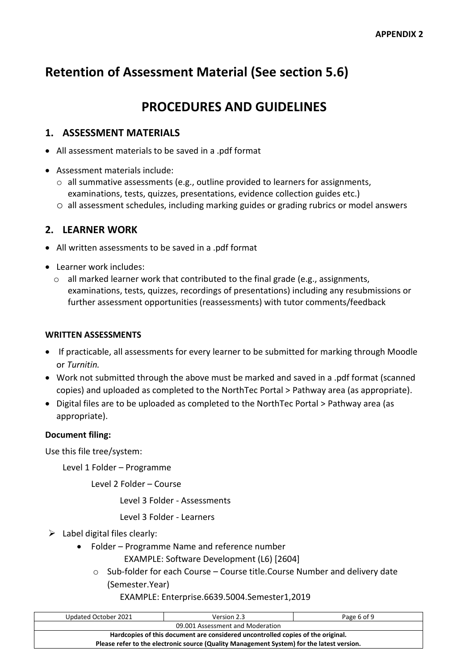# **Retention of Assessment Material (See section 5.6)**

# **PROCEDURES AND GUIDELINES**

### **1. ASSESSMENT MATERIALS**

- All assessment materials to be saved in a .pdf format
- Assessment materials include:
	- o all summative assessments (e.g., outline provided to learners for assignments, examinations, tests, quizzes, presentations, evidence collection guides etc.)
	- o all assessment schedules, including marking guides or grading rubrics or model answers

## **2. LEARNER WORK**

- All written assessments to be saved in a .pdf format
- Learner work includes:
	- $\circ$  all marked learner work that contributed to the final grade (e.g., assignments, examinations, tests, quizzes, recordings of presentations) including any resubmissions or further assessment opportunities (reassessments) with tutor comments/feedback

#### **WRITTEN ASSESSMENTS**

- If practicable, all assessments for every learner to be submitted for marking through Moodle or *Turnitin.*
- Work not submitted through the above must be marked and saved in a .pdf format (scanned copies) and uploaded as completed to the NorthTec Portal > Pathway area (as appropriate).
- Digital files are to be uploaded as completed to the NorthTec Portal > Pathway area (as appropriate).

#### **Document filing:**

Use this file tree/system:

Level 1 Folder – Programme

Level 2 Folder – Course

Level 3 Folder - Assessments

Level 3 Folder - Learners

- $\triangleright$  Label digital files clearly:
	- Folder Programme Name and reference number
		- EXAMPLE: Software Development (L6) [2604]
		- $\circ$  Sub-folder for each Course Course title. Course Number and delivery date (Semester.Year)

EXAMPLE: Enterprise.6639.5004.Semester1,2019

| Updated October 2021                                                                      | Version 2.3 | Page 6 of 9 |  |
|-------------------------------------------------------------------------------------------|-------------|-------------|--|
| 09.001 Assessment and Moderation                                                          |             |             |  |
| Hardcopies of this document are considered uncontrolled copies of the original.           |             |             |  |
| Please refer to the electronic source (Quality Management System) for the latest version. |             |             |  |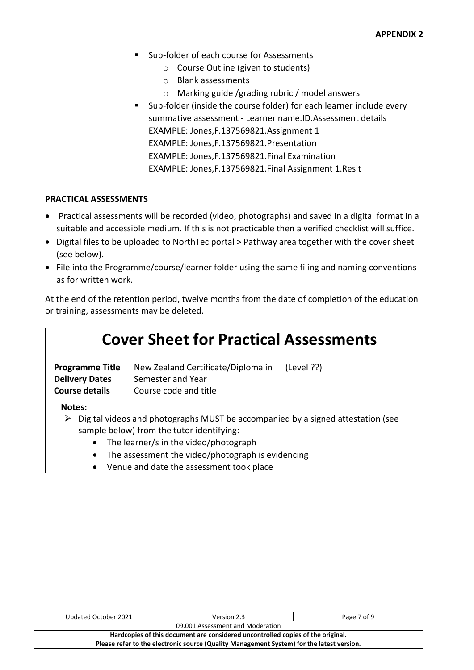- Sub-folder of each course for Assessments
	- o Course Outline (given to students)
	- o Blank assessments
	- o Marking guide /grading rubric / model answers
- Sub-folder (inside the course folder) for each learner include every summative assessment - Learner name.ID.Assessment details EXAMPLE: Jones,F.137569821.Assignment 1 EXAMPLE: Jones,F.137569821.Presentation EXAMPLE: Jones,F.137569821.Final Examination EXAMPLE: Jones,F.137569821.Final Assignment 1.Resit

#### **PRACTICAL ASSESSMENTS**

- Practical assessments will be recorded (video, photographs) and saved in a digital format in a suitable and accessible medium. If this is not practicable then a verified checklist will suffice.
- Digital files to be uploaded to NorthTec portal > Pathway area together with the cover sheet (see below).
- File into the Programme/course/learner folder using the same filing and naming conventions as for written work.

At the end of the retention period, twelve months from the date of completion of the education or training, assessments may be deleted.

| <b>Cover Sheet for Practical Assessments</b>                                                                                                                                                                                                              |                                                                                  |            |  |
|-----------------------------------------------------------------------------------------------------------------------------------------------------------------------------------------------------------------------------------------------------------|----------------------------------------------------------------------------------|------------|--|
| <b>Programme Title</b><br><b>Delivery Dates</b><br><b>Course details</b>                                                                                                                                                                                  | New Zealand Certificate/Diploma in<br>Semester and Year<br>Course code and title | (Level ??) |  |
| Notes:                                                                                                                                                                                                                                                    |                                                                                  |            |  |
| Digital videos and photographs MUST be accompanied by a signed attestation (see<br>➤<br>sample below) from the tutor identifying:<br>The learner/s in the video/photograph<br>$\bullet$<br>The assessment the video/photograph is evidencing<br>$\bullet$ |                                                                                  |            |  |

• Venue and date the assessment took place

| Updated October 2021                                                                      | Version 2.3 | Page 7 of 9 |  |
|-------------------------------------------------------------------------------------------|-------------|-------------|--|
| 09.001 Assessment and Moderation                                                          |             |             |  |
| Hardcopies of this document are considered uncontrolled copies of the original.           |             |             |  |
| Please refer to the electronic source (Quality Management System) for the latest version. |             |             |  |
|                                                                                           |             |             |  |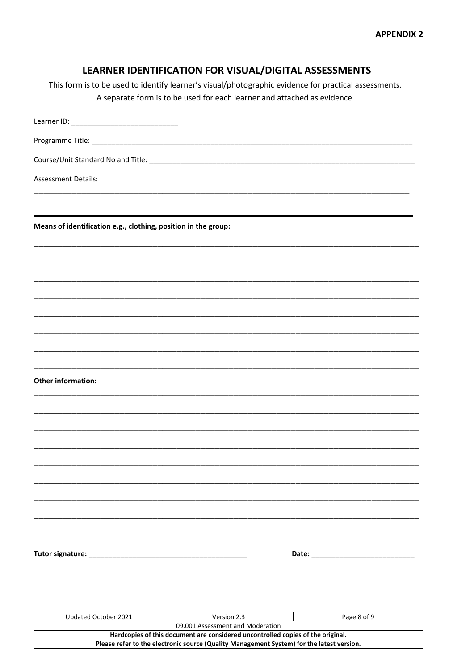| LEARNER IDENTIFICATION FOR VISUAL/DIGITAL ASSESSMENTS                                                 |             |
|-------------------------------------------------------------------------------------------------------|-------------|
| This form is to be used to identify learner's visual/photographic evidence for practical assessments. |             |
| A separate form is to be used for each learner and attached as evidence.                              |             |
|                                                                                                       |             |
|                                                                                                       |             |
|                                                                                                       |             |
| <b>Assessment Details:</b>                                                                            |             |
| Means of identification e.g., clothing, position in the group:                                        |             |
|                                                                                                       |             |
|                                                                                                       |             |
|                                                                                                       |             |
|                                                                                                       |             |
|                                                                                                       |             |
|                                                                                                       |             |
| <b>Other information:</b>                                                                             |             |
|                                                                                                       |             |
|                                                                                                       |             |
|                                                                                                       |             |
|                                                                                                       |             |
|                                                                                                       |             |
|                                                                                                       |             |
|                                                                                                       |             |
|                                                                                                       |             |
|                                                                                                       |             |
| Updated October 2021<br>Version 2.3<br>09.001 Assessment and Moderation                               | Page 8 of 9 |
| Hardcopies of this document are considered uncontrolled copies of the original.                       |             |

Please refer to the electronic source (Quality Management System) for the latest version.